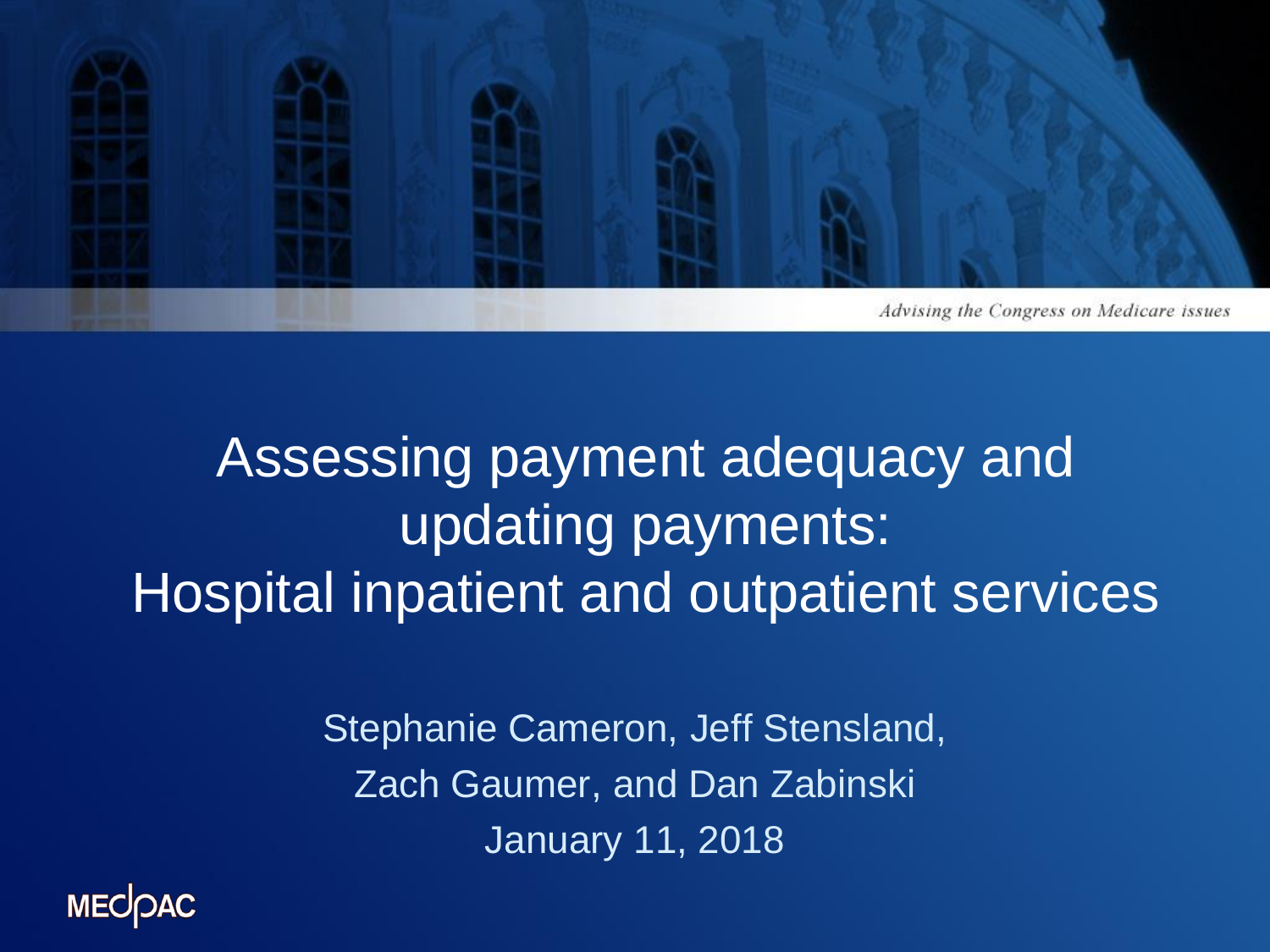

### Assessing payment adequacy and updating payments: Hospital inpatient and outpatient services

Stephanie Cameron, Jeff Stensland, Zach Gaumer, and Dan Zabinski January 11, 2018

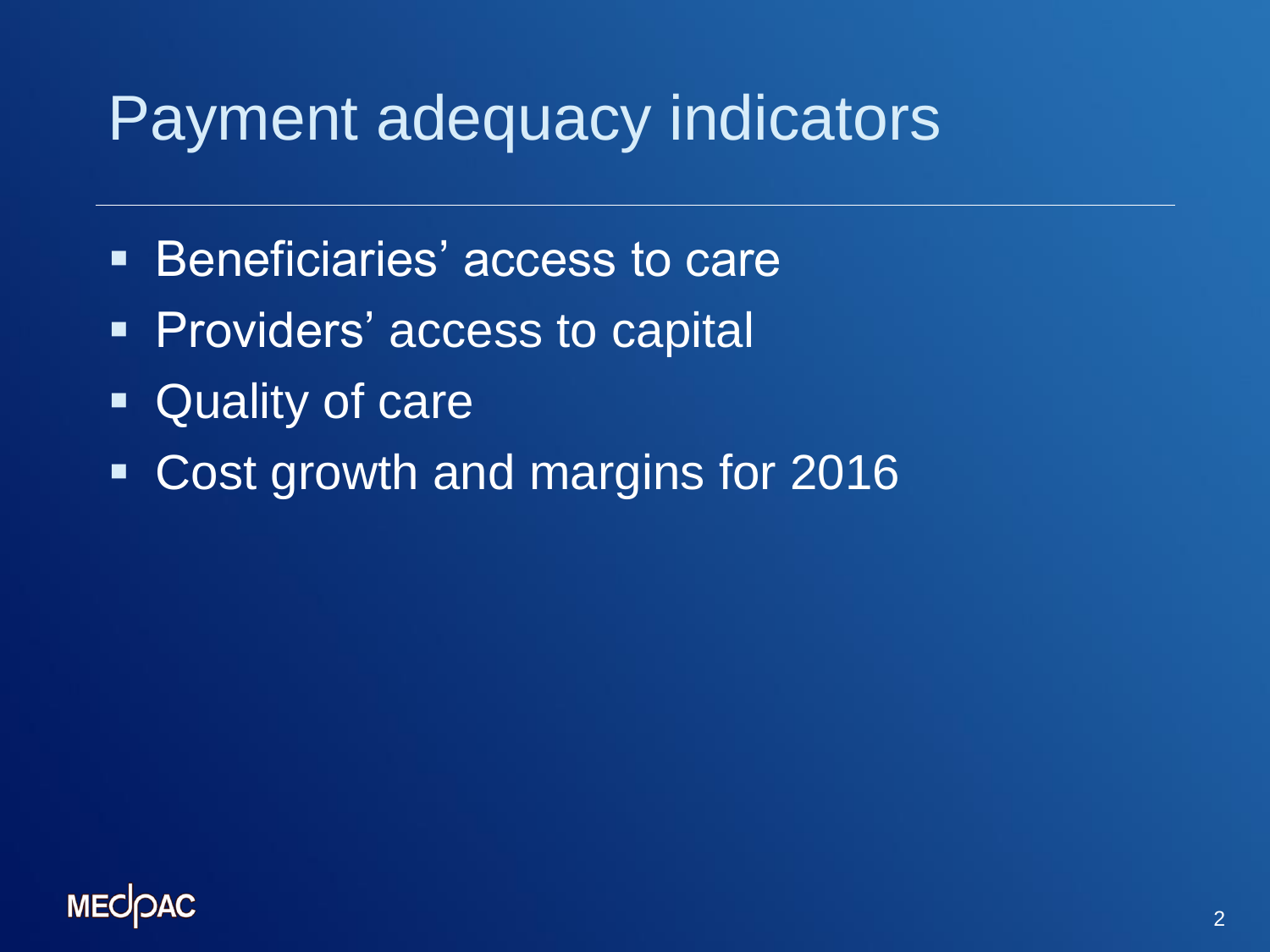### Payment adequacy indicators

- **Beneficiaries' access to care**
- **Providers' access to capital**
- Quality of care
- Cost growth and margins for 2016

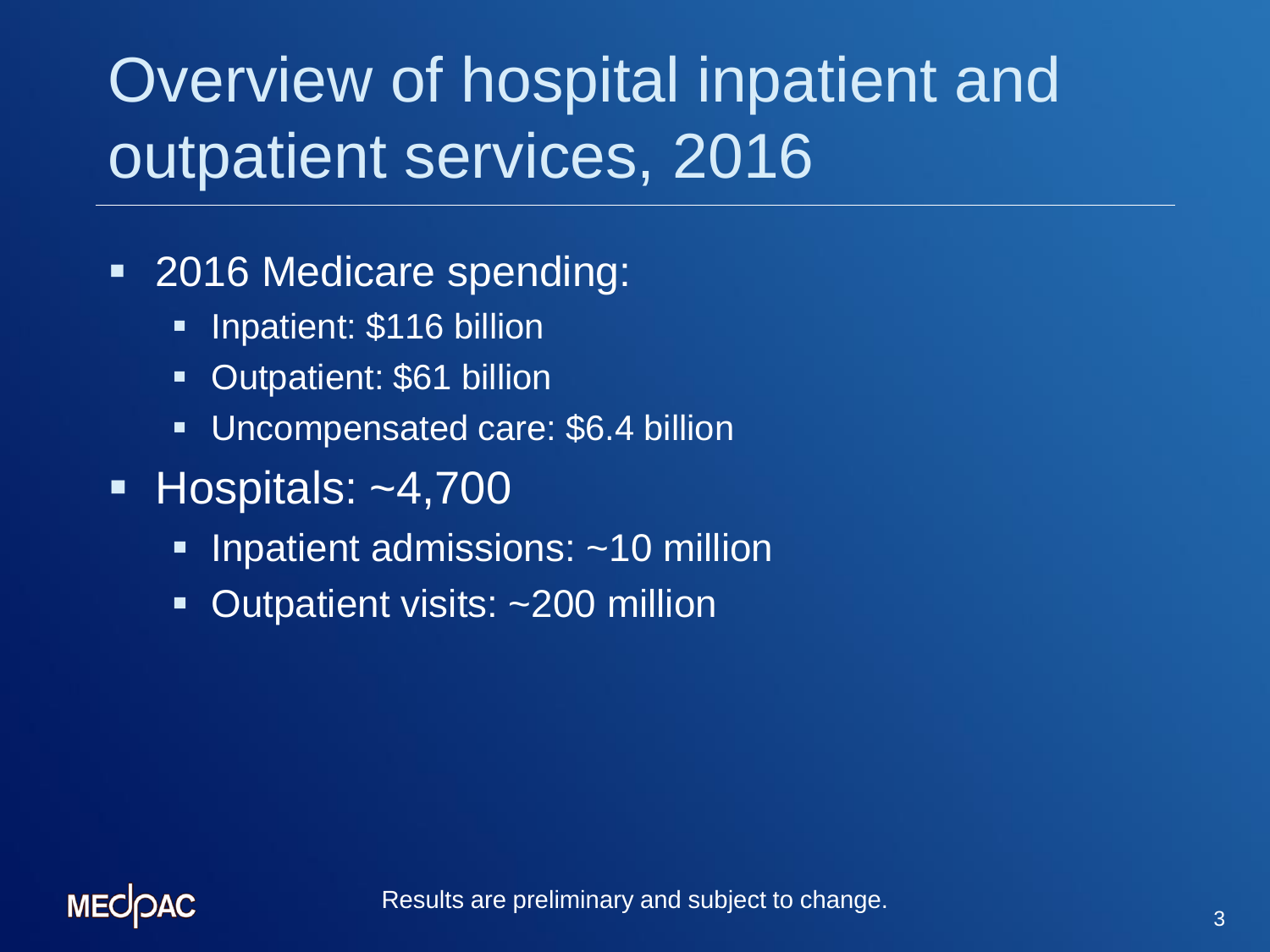# Overview of hospital inpatient and outpatient services, 2016

- 2016 Medicare spending:
	- **Inpatient: \$116 billion**
	- **Dutpatient: \$61 billion**
	- **Uncompensated care: \$6.4 billion**
- $\blacksquare$  Hospitals: ~4,700
	- **Iomark admissions: ~10 million**
	- **Dutpatient visits: ~200 million**

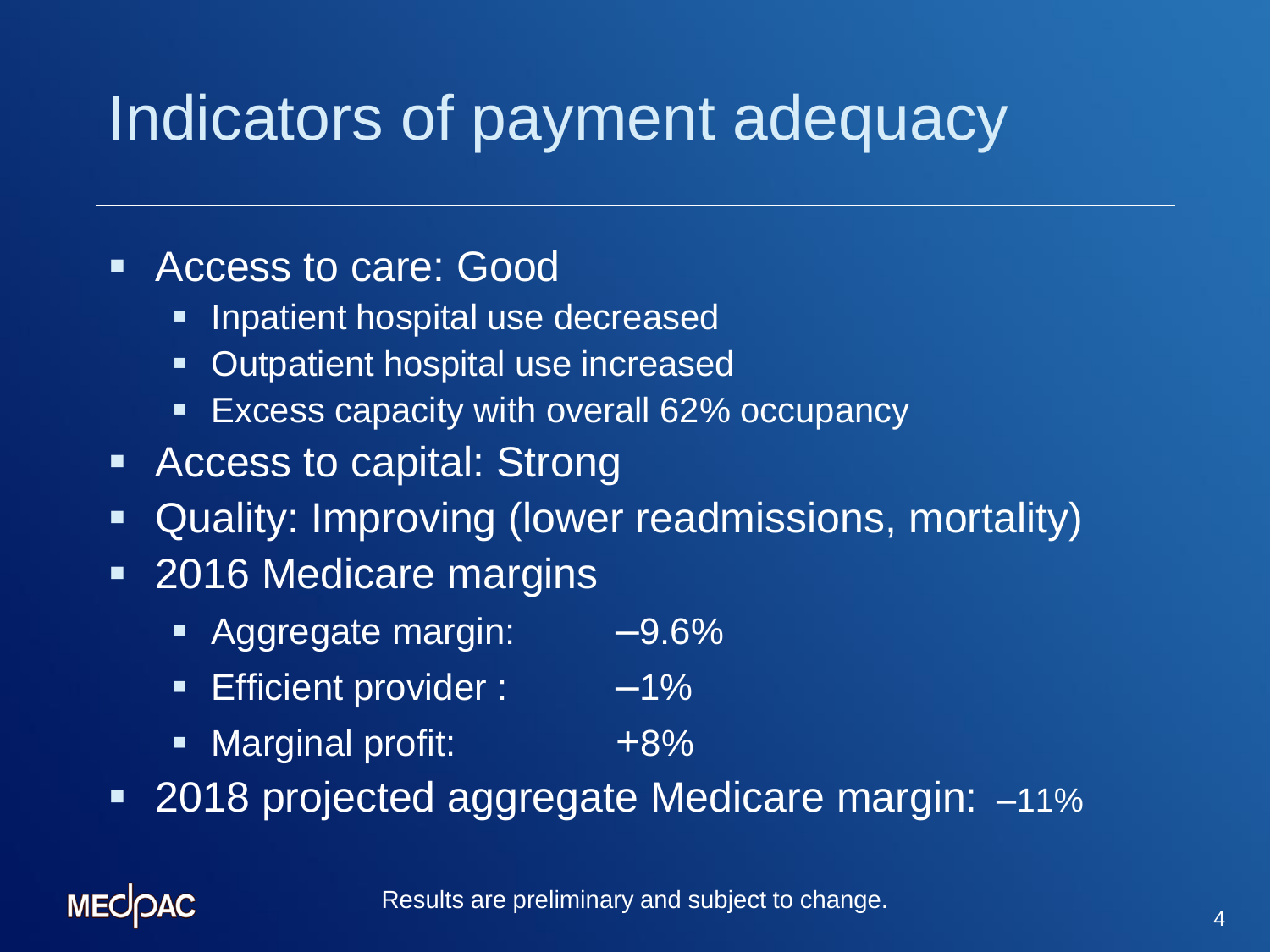## Indicators of payment adequacy

#### **Access to care: Good**

- **Inpatient hospital use decreased**
- **Dutpatient hospital use increased**
- **Excess capacity with overall 62% occupancy**
- **Access to capital: Strong**
- Quality: Improving (lower readmissions, mortality)
- 2016 Medicare margins
	- Aggregate margin: -9.6%
	- **Efficient provider : 49%**
	- Marginal profit: +8%
- 2018 projected aggregate Medicare margin: -11%

#### **MECOAC**

Results are preliminary and subject to change.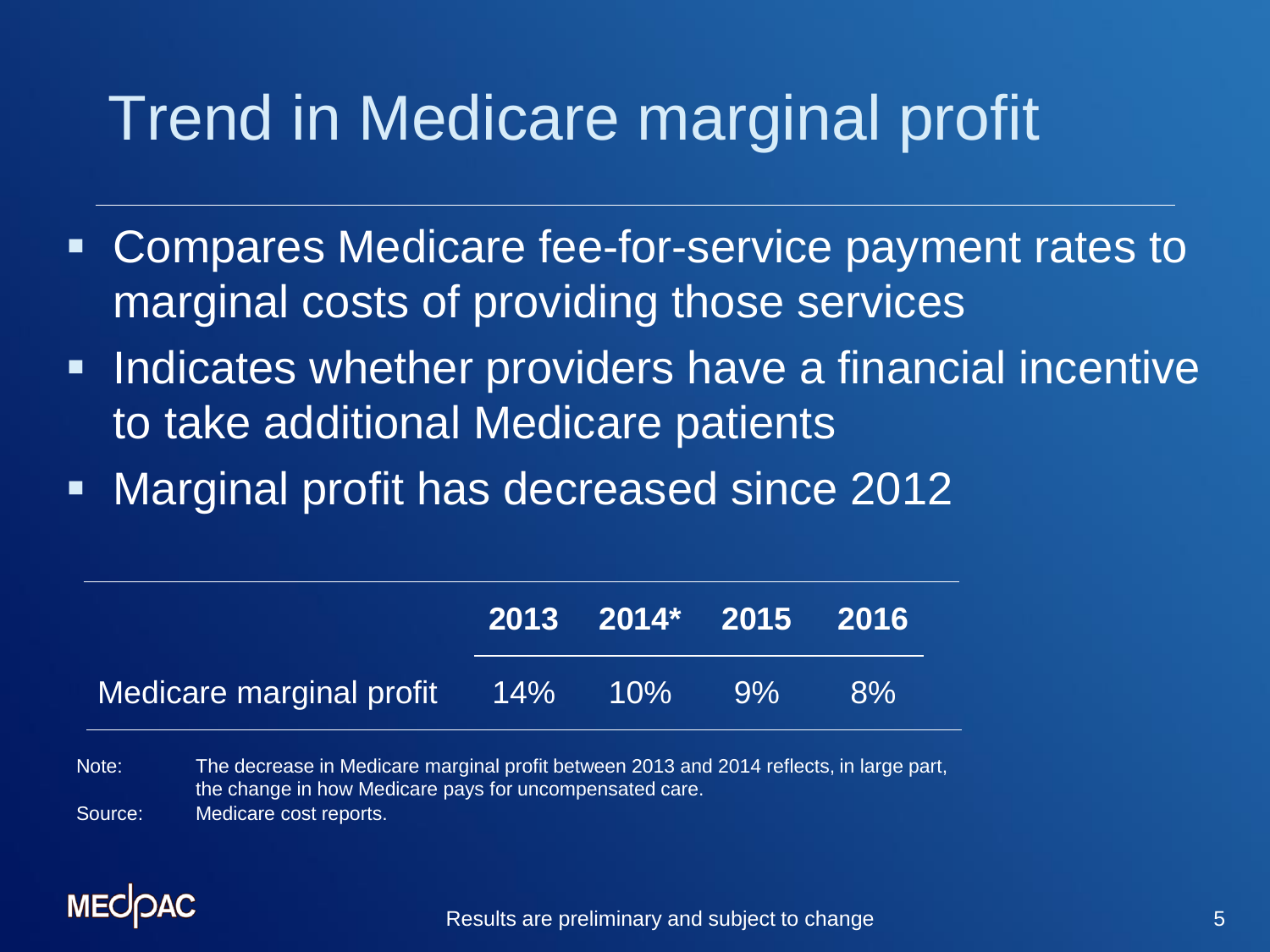## Trend in Medicare marginal profit

- Compares Medicare fee-for-service payment rates to marginal costs of providing those services
- **Indicates whether providers have a financial incentive** to take additional Medicare patients
- Marginal profit has decreased since 2012

|                                     | 2013 2014* 2015 2016 |    |
|-------------------------------------|----------------------|----|
| Medicare marginal profit 14% 10% 9% |                      | 8% |

Note: The decrease in Medicare marginal profit between 2013 and 2014 reflects, in large part, the change in how Medicare pays for uncompensated care. Source: Medicare cost reports.

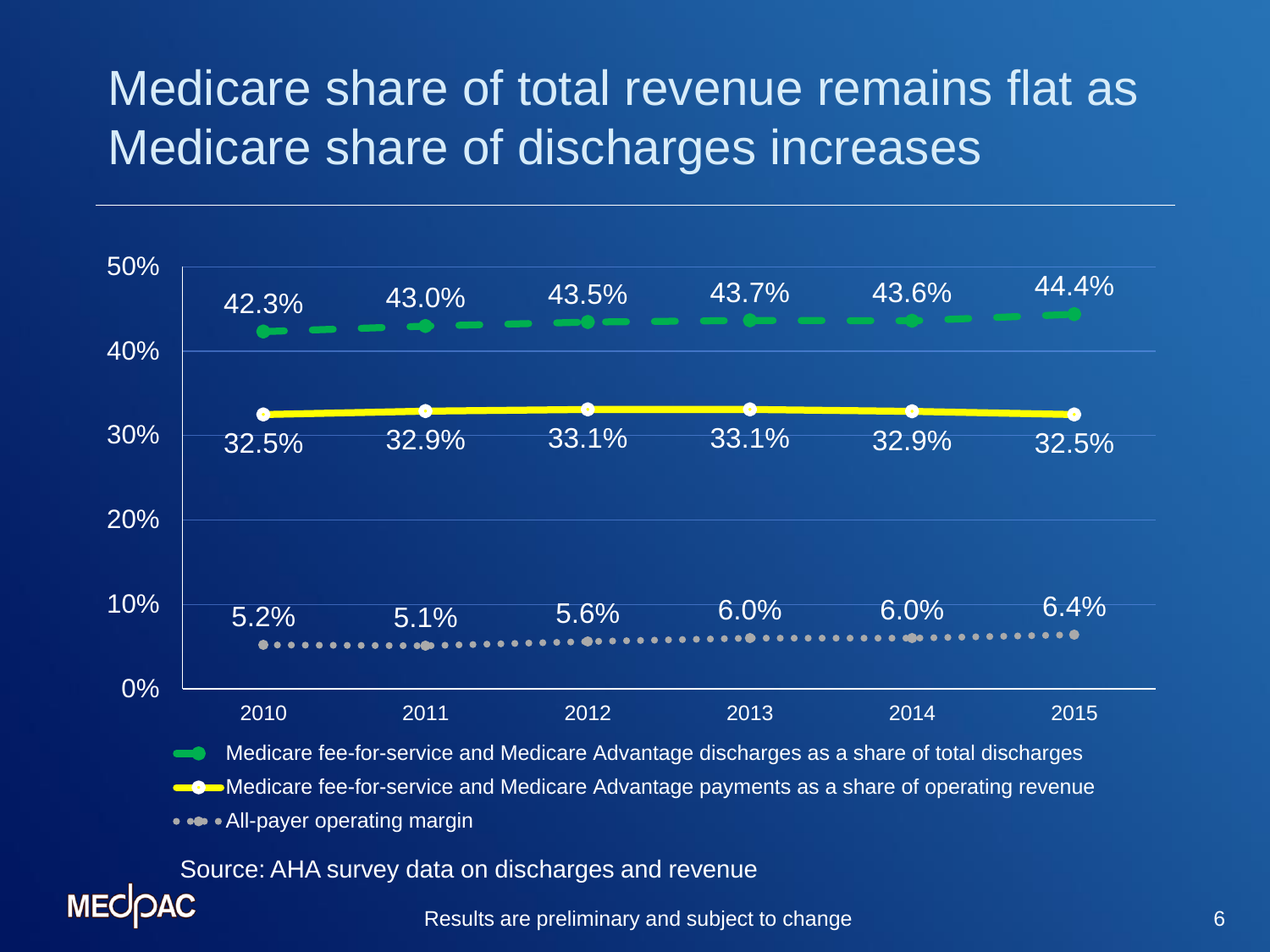### Medicare share of total revenue remains flat as Medicare share of discharges increases



Results are preliminary and subject to change